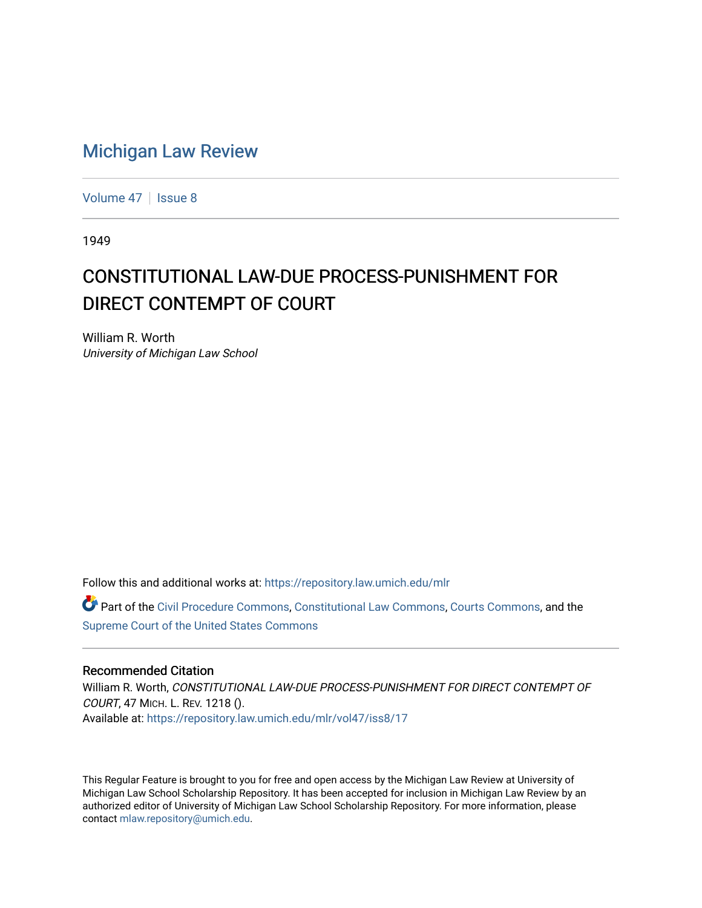## [Michigan Law Review](https://repository.law.umich.edu/mlr)

[Volume 47](https://repository.law.umich.edu/mlr/vol47) | [Issue 8](https://repository.law.umich.edu/mlr/vol47/iss8)

1949

## CONSTITUTIONAL LAW-DUE PROCESS-PUNISHMENT FOR DIRECT CONTEMPT OF COURT

William R. Worth University of Michigan Law School

Follow this and additional works at: [https://repository.law.umich.edu/mlr](https://repository.law.umich.edu/mlr?utm_source=repository.law.umich.edu%2Fmlr%2Fvol47%2Fiss8%2F17&utm_medium=PDF&utm_campaign=PDFCoverPages) 

Part of the [Civil Procedure Commons,](http://network.bepress.com/hgg/discipline/584?utm_source=repository.law.umich.edu%2Fmlr%2Fvol47%2Fiss8%2F17&utm_medium=PDF&utm_campaign=PDFCoverPages) [Constitutional Law Commons](http://network.bepress.com/hgg/discipline/589?utm_source=repository.law.umich.edu%2Fmlr%2Fvol47%2Fiss8%2F17&utm_medium=PDF&utm_campaign=PDFCoverPages), [Courts Commons](http://network.bepress.com/hgg/discipline/839?utm_source=repository.law.umich.edu%2Fmlr%2Fvol47%2Fiss8%2F17&utm_medium=PDF&utm_campaign=PDFCoverPages), and the [Supreme Court of the United States Commons](http://network.bepress.com/hgg/discipline/1350?utm_source=repository.law.umich.edu%2Fmlr%2Fvol47%2Fiss8%2F17&utm_medium=PDF&utm_campaign=PDFCoverPages) 

## Recommended Citation

William R. Worth, CONSTITUTIONAL LAW-DUE PROCESS-PUNISHMENT FOR DIRECT CONTEMPT OF COURT, 47 MICH. L. REV. 1218 (). Available at: [https://repository.law.umich.edu/mlr/vol47/iss8/17](https://repository.law.umich.edu/mlr/vol47/iss8/17?utm_source=repository.law.umich.edu%2Fmlr%2Fvol47%2Fiss8%2F17&utm_medium=PDF&utm_campaign=PDFCoverPages) 

This Regular Feature is brought to you for free and open access by the Michigan Law Review at University of Michigan Law School Scholarship Repository. It has been accepted for inclusion in Michigan Law Review by an authorized editor of University of Michigan Law School Scholarship Repository. For more information, please contact [mlaw.repository@umich.edu](mailto:mlaw.repository@umich.edu).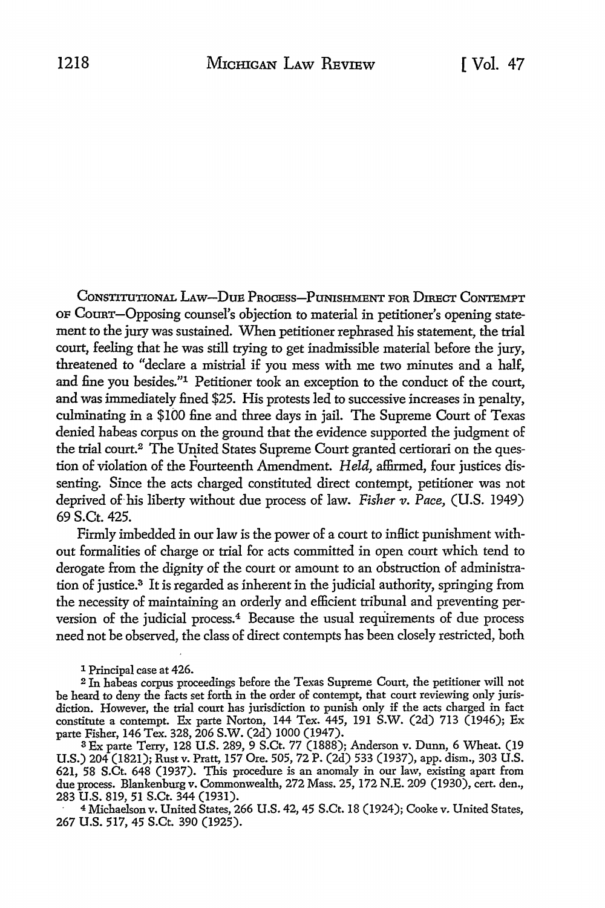CoNSTITUTIONAL LAw-DuB PROCEss-PuNISHMENT FOR DIRECT CoNTBMPT OF CoURT-Opposing counsel's objection to material in petitioner's opening statement to the jury was sustained. When petitioner rephrased his statement, the trial court, feeling that he was still trying to get inadmissible material before the jury, threatened to "declare a mistrial if you mess with me two minutes and a half, and fine you besides.''1 Petitioner took an exception to the conduct of the court, and was immediately fined \$25. His protests led to successive increases in penalty, culminating in a \$100 fine and three days in jail. The Supreme Court of Texas denied habeas corpus on the ground that the evidence supported the judgment of the trial court.<sup>2</sup> The United States Supreme Court granted certiorari on the question of violation of the Fourteenth Amendment. *Held,* affirmed, four justices dissenting. Since the acts charged constituted direct contempt, petitioner was not deprived of his liberty without due process of law. *Fisher v. Pace,* (U.S. 1949) 69S.Ct.425.

Firmly imbedded in our law is the power of a court to inflict punishment without formalities of charge or trial for acts committed in open court which tend to derogate from the dignity of the court or amount to an obstruction of administration of justice.3 It is regarded as inherent in the judicial authority, springing from the necessity of maintaining an orderly and efficient tribunal and preventing perversion of the judicial process.<sup>4</sup> Because the usual requirements of due process need not be observed, the class of direct contempts has been closely restricted, both

l Principal case at 426.

<sup>2</sup>In habeas corpus proceedings before the Texas Supreme Court, the petitioner will not be heard to deny the facts set forth in the order of contempt, that court reviewing only jurisdiction. However, the trial court has jurisdiction to punish only if the acts charged in fact constitute a contempt. Ex parte Norton, 144 Tex. 445, 191 S.W. (2d) 713 (1946); Ex parte Fisher, 146 Tex. 328, 206 S.W. (2d) 1000 (1947). 3 Ex parte Terry, 128 U.S. 289, 9 S.Ct. 77 (1888); Anderson v. Dunn, 6 Wheat. (19

U.S.) 204 (1821); Rust v. Pratt, 157 Ore. 505, 72 P. (2d) 533 (1937), app. dism., 303 U.S. 621, 58 S.Ct. 648 (1937). This procedure is an anomaly in our law, existing apart from due process. Blankenburg v. Commonwealth, 272 Mass. 25, 172 N.E. 209 (1930), cert. den., 283 U.S. 819, 51 S.Ct. 344 (1931).

<sup>4</sup>Michaelson v. United States, 266 U.S. 42, 45 S.Ct. 18 (1924); Cooke v. United States, 267 U.S. 517, 45 S.Ct. 390 (1925).